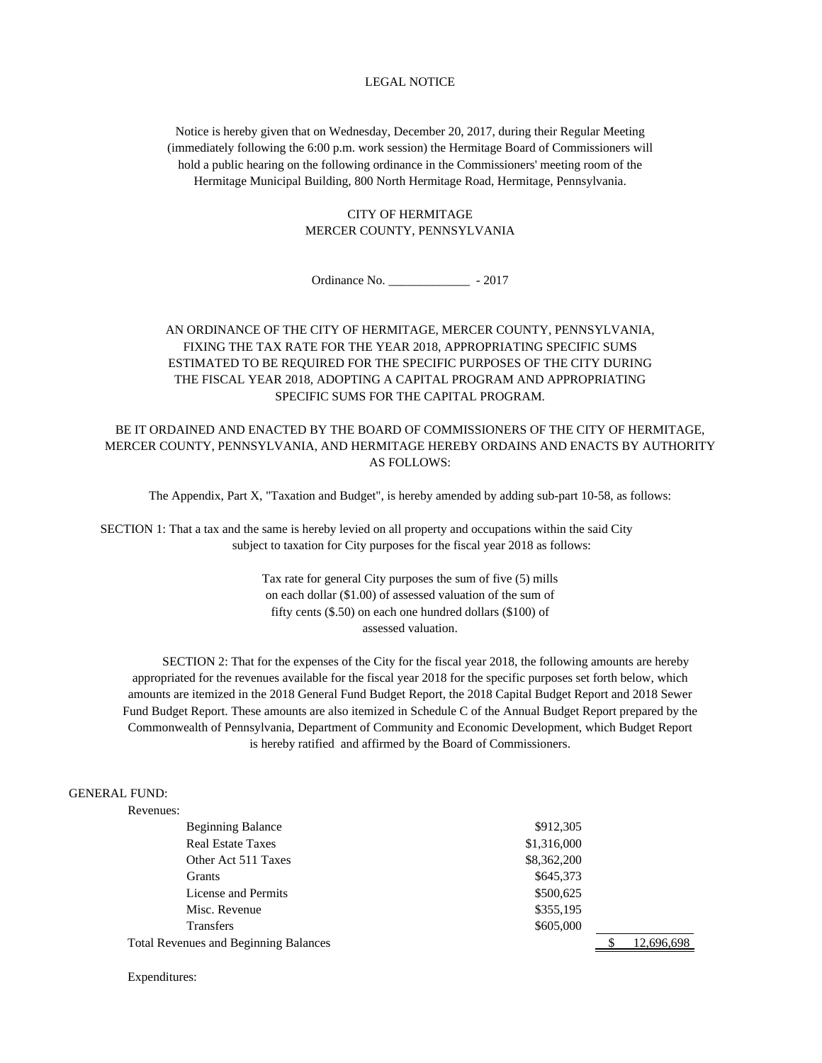### LEGAL NOTICE

Notice is hereby given that on Wednesday, December 20, 2017, during their Regular Meeting (immediately following the 6:00 p.m. work session) the Hermitage Board of Commissioners will hold a public hearing on the following ordinance in the Commissioners' meeting room of the Hermitage Municipal Building, 800 North Hermitage Road, Hermitage, Pennsylvania.

# CITY OF HERMITAGE MERCER COUNTY, PENNSYLVANIA

Ordinance No. \_\_\_\_\_\_\_\_\_\_\_\_\_ - 2017

# AN ORDINANCE OF THE CITY OF HERMITAGE, MERCER COUNTY, PENNSYLVANIA, FIXING THE TAX RATE FOR THE YEAR 2018, APPROPRIATING SPECIFIC SUMS ESTIMATED TO BE REQUIRED FOR THE SPECIFIC PURPOSES OF THE CITY DURING THE FISCAL YEAR 2018, ADOPTING A CAPITAL PROGRAM AND APPROPRIATING SPECIFIC SUMS FOR THE CAPITAL PROGRAM.

BE IT ORDAINED AND ENACTED BY THE BOARD OF COMMISSIONERS OF THE CITY OF HERMITAGE, MERCER COUNTY, PENNSYLVANIA, AND HERMITAGE HEREBY ORDAINS AND ENACTS BY AUTHORITY AS FOLLOWS:

The Appendix, Part X, "Taxation and Budget", is hereby amended by adding sub-part 10-58, as follows:

 SECTION 1: That a tax and the same is hereby levied on all property and occupations within the said City subject to taxation for City purposes for the fiscal year 2018 as follows:

> Tax rate for general City purposes the sum of five (5) mills on each dollar (\$1.00) of assessed valuation of the sum of fifty cents (\$.50) on each one hundred dollars (\$100) of assessed valuation.

 SECTION 2: That for the expenses of the City for the fiscal year 2018, the following amounts are hereby appropriated for the revenues available for the fiscal year 2018 for the specific purposes set forth below, which amounts are itemized in the 2018 General Fund Budget Report, the 2018 Capital Budget Report and 2018 Sewer Fund Budget Report. These amounts are also itemized in Schedule C of the Annual Budget Report prepared by the Commonwealth of Pennsylvania, Department of Community and Economic Development, which Budget Report is hereby ratified and affirmed by the Board of Commissioners.

#### GENERAL FUND:

| Revenues: |
|-----------|
|           |

Expenditures:

| <b>Beginning Balance</b>                     | \$912,305   |            |
|----------------------------------------------|-------------|------------|
| <b>Real Estate Taxes</b>                     | \$1,316,000 |            |
| Other Act 511 Taxes                          | \$8,362,200 |            |
| Grants                                       | \$645,373   |            |
| License and Permits                          | \$500,625   |            |
| Misc. Revenue                                | \$355,195   |            |
| <b>Transfers</b>                             | \$605,000   |            |
| <b>Total Revenues and Beginning Balances</b> |             | 12,696,698 |
|                                              |             |            |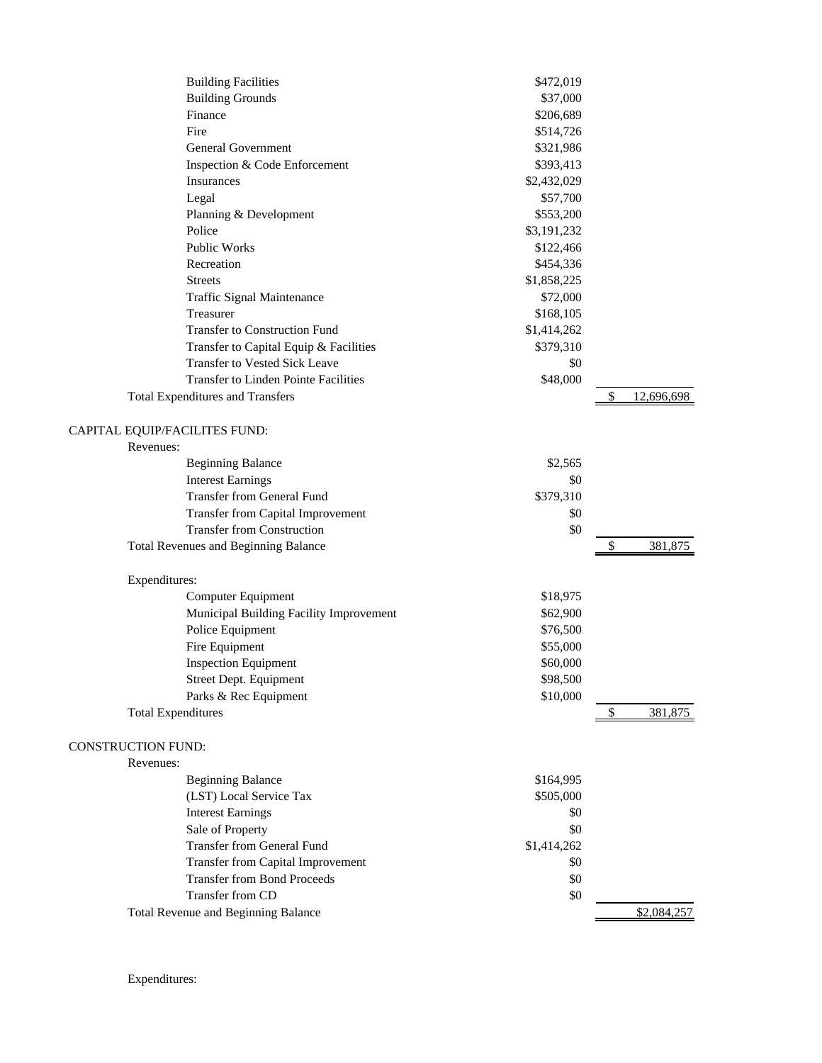|                           | <b>Building Facilities</b>                  | \$472,019   |               |             |
|---------------------------|---------------------------------------------|-------------|---------------|-------------|
|                           | <b>Building Grounds</b>                     | \$37,000    |               |             |
|                           | Finance                                     | \$206,689   |               |             |
|                           | Fire                                        | \$514,726   |               |             |
|                           | <b>General Government</b>                   | \$321,986   |               |             |
|                           | Inspection & Code Enforcement               | \$393,413   |               |             |
|                           | Insurances                                  | \$2,432,029 |               |             |
|                           | Legal                                       | \$57,700    |               |             |
|                           | Planning & Development                      | \$553,200   |               |             |
|                           | Police                                      | \$3,191,232 |               |             |
|                           | Public Works                                | \$122,466   |               |             |
|                           | Recreation                                  | \$454,336   |               |             |
|                           | Streets                                     | \$1,858,225 |               |             |
|                           | Traffic Signal Maintenance                  | \$72,000    |               |             |
|                           | Treasurer                                   | \$168,105   |               |             |
|                           | <b>Transfer to Construction Fund</b>        | \$1,414,262 |               |             |
|                           | Transfer to Capital Equip & Facilities      | \$379,310   |               |             |
|                           | Transfer to Vested Sick Leave               | \$0         |               |             |
|                           | <b>Transfer to Linden Pointe Facilities</b> | \$48,000    |               |             |
|                           | <b>Total Expenditures and Transfers</b>     |             | \$            | 12,696,698  |
|                           |                                             |             |               |             |
|                           | CAPITAL EQUIP/FACILITES FUND:               |             |               |             |
|                           | Revenues:                                   |             |               |             |
|                           | <b>Beginning Balance</b>                    | \$2,565     |               |             |
|                           | <b>Interest Earnings</b>                    | \$0         |               |             |
|                           | <b>Transfer from General Fund</b>           | \$379,310   |               |             |
|                           | <b>Transfer from Capital Improvement</b>    | \$0         |               |             |
|                           | <b>Transfer from Construction</b>           | \$0         |               |             |
|                           | Total Revenues and Beginning Balance        |             | $\frac{1}{2}$ | 381,875     |
|                           |                                             |             |               |             |
|                           | Expenditures:                               |             |               |             |
|                           | Computer Equipment                          | \$18,975    |               |             |
|                           | Municipal Building Facility Improvement     | \$62,900    |               |             |
|                           | Police Equipment                            | \$76,500    |               |             |
|                           | Fire Equipment                              | \$55,000    |               |             |
|                           | <b>Inspection Equipment</b>                 | \$60,000    |               |             |
|                           | Street Dept. Equipment                      | \$98,500    |               |             |
|                           | Parks & Rec Equipment                       | \$10,000    |               |             |
|                           | <b>Total Expenditures</b>                   |             | \$            | 381,875     |
|                           |                                             |             |               |             |
| <b>CONSTRUCTION FUND:</b> |                                             |             |               |             |
|                           | Revenues:                                   |             |               |             |
|                           | <b>Beginning Balance</b>                    | \$164,995   |               |             |
|                           | (LST) Local Service Tax                     | \$505,000   |               |             |
|                           | <b>Interest Earnings</b>                    | \$0         |               |             |
|                           | Sale of Property                            | \$0         |               |             |
|                           | <b>Transfer from General Fund</b>           | \$1,414,262 |               |             |
|                           | Transfer from Capital Improvement           | \$0         |               |             |
|                           | <b>Transfer from Bond Proceeds</b>          | \$0         |               |             |
|                           | Transfer from CD                            | \$0         |               |             |
|                           | Total Revenue and Beginning Balance         |             |               | \$2,084,257 |
|                           |                                             |             |               |             |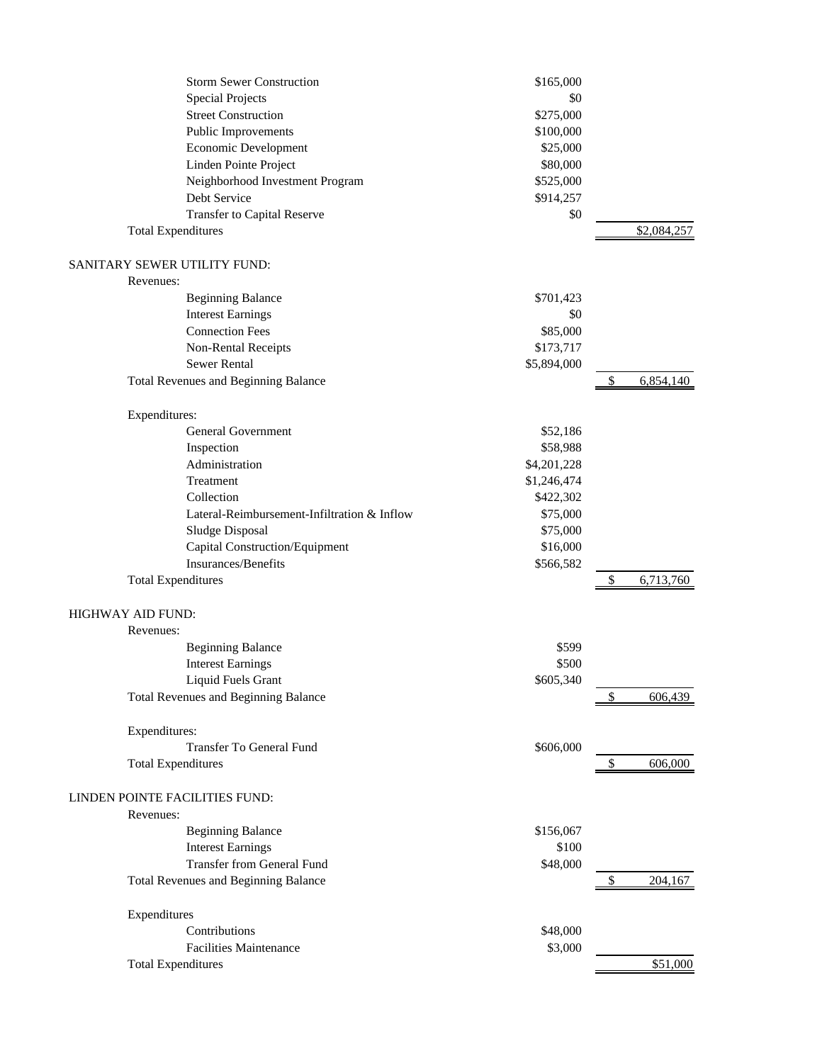|                                | <b>Storm Sewer Construction</b>             | \$165,000   |    |             |
|--------------------------------|---------------------------------------------|-------------|----|-------------|
|                                | <b>Special Projects</b>                     | \$0         |    |             |
|                                | <b>Street Construction</b>                  | \$275,000   |    |             |
|                                | Public Improvements                         | \$100,000   |    |             |
|                                | Economic Development                        | \$25,000    |    |             |
|                                | Linden Pointe Project                       | \$80,000    |    |             |
|                                | Neighborhood Investment Program             | \$525,000   |    |             |
|                                | Debt Service                                | \$914,257   |    |             |
|                                | Transfer to Capital Reserve                 | \$0         |    |             |
| <b>Total Expenditures</b>      |                                             |             |    | \$2,084,257 |
| SANITARY SEWER UTILITY FUND:   |                                             |             |    |             |
| Revenues:                      |                                             |             |    |             |
|                                | <b>Beginning Balance</b>                    | \$701,423   |    |             |
|                                | <b>Interest Earnings</b>                    | \$0         |    |             |
|                                | <b>Connection Fees</b>                      | \$85,000    |    |             |
|                                | Non-Rental Receipts                         | \$173,717   |    |             |
|                                | <b>Sewer Rental</b>                         | \$5,894,000 |    |             |
|                                | Total Revenues and Beginning Balance        |             | \$ | 6,854,140   |
| Expenditures:                  |                                             |             |    |             |
|                                | <b>General Government</b>                   | \$52,186    |    |             |
|                                | Inspection                                  | \$58,988    |    |             |
|                                | Administration                              | \$4,201,228 |    |             |
|                                | Treatment                                   | \$1,246,474 |    |             |
|                                | Collection                                  | \$422,302   |    |             |
|                                | Lateral-Reimbursement-Infiltration & Inflow | \$75,000    |    |             |
|                                | Sludge Disposal                             | \$75,000    |    |             |
|                                | Capital Construction/Equipment              | \$16,000    |    |             |
|                                | Insurances/Benefits                         | \$566,582   |    |             |
| <b>Total Expenditures</b>      |                                             |             | \$ | 6,713,760   |
| HIGHWAY AID FUND:              |                                             |             |    |             |
| Revenues:                      |                                             |             |    |             |
|                                | <b>Beginning Balance</b>                    | \$599       |    |             |
|                                | <b>Interest Earnings</b>                    | \$500       |    |             |
|                                | <b>Liquid Fuels Grant</b>                   | \$605,340   |    |             |
|                                | Total Revenues and Beginning Balance        |             |    | 606,439     |
| Expenditures:                  |                                             |             |    |             |
|                                | Transfer To General Fund                    | \$606,000   |    |             |
| <b>Total Expenditures</b>      |                                             |             | \$ | 606,000     |
| LINDEN POINTE FACILITIES FUND: |                                             |             |    |             |
| Revenues:                      |                                             |             |    |             |
|                                | <b>Beginning Balance</b>                    | \$156,067   |    |             |
|                                | <b>Interest Earnings</b>                    | \$100       |    |             |
|                                | <b>Transfer from General Fund</b>           | \$48,000    |    |             |
|                                | Total Revenues and Beginning Balance        |             | S  | 204,167     |
| Expenditures                   |                                             |             |    |             |
|                                | Contributions                               | \$48,000    |    |             |
|                                | Facilities Maintenance                      | \$3,000     |    |             |
| <b>Total Expenditures</b>      |                                             |             |    | \$51,000    |
|                                |                                             |             |    |             |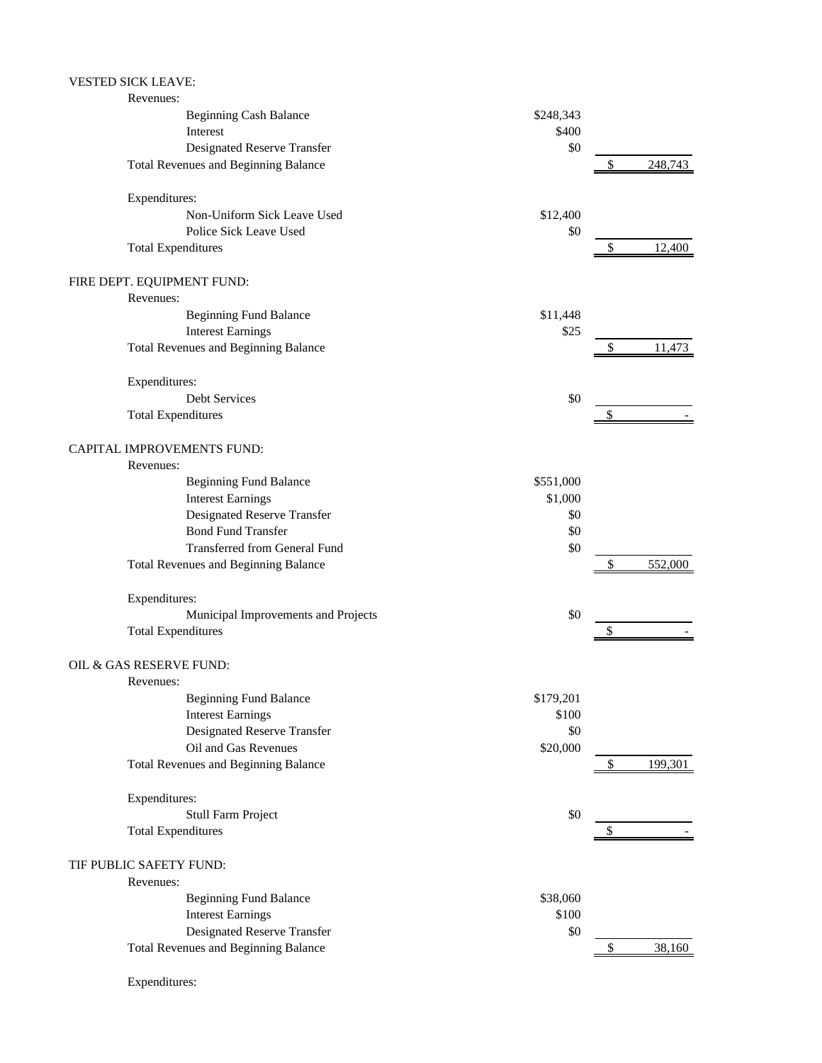# VESTED SICK LEAVE:

| Revenues:                                   |           |               |
|---------------------------------------------|-----------|---------------|
| <b>Beginning Cash Balance</b>               | \$248,343 |               |
| Interest                                    | \$400     |               |
| Designated Reserve Transfer                 | \$0       |               |
| <b>Total Revenues and Beginning Balance</b> |           | \$<br>248,743 |
| Expenditures:                               |           |               |
| Non-Uniform Sick Leave Used                 | \$12,400  |               |
| Police Sick Leave Used                      | \$0       |               |
| <b>Total Expenditures</b>                   |           | \$<br>12,400  |
| FIRE DEPT. EQUIPMENT FUND:                  |           |               |
| Revenues:                                   |           |               |
| <b>Beginning Fund Balance</b>               | \$11,448  |               |
| <b>Interest Earnings</b>                    | \$25      |               |
| <b>Total Revenues and Beginning Balance</b> |           | 11,473        |
| Expenditures:                               |           |               |
| <b>Debt Services</b>                        | \$0       |               |
| <b>Total Expenditures</b>                   |           |               |
| CAPITAL IMPROVEMENTS FUND:                  |           |               |
| Revenues:                                   |           |               |
| <b>Beginning Fund Balance</b>               | \$551,000 |               |
| <b>Interest Earnings</b>                    | \$1,000   |               |
| Designated Reserve Transfer                 | \$0       |               |
| <b>Bond Fund Transfer</b>                   | \$0       |               |
| Transferred from General Fund               | \$0       |               |
| Total Revenues and Beginning Balance        |           | \$<br>552,000 |
| Expenditures:                               |           |               |
| Municipal Improvements and Projects         | \$0       |               |
| <b>Total Expenditures</b>                   |           |               |
| OIL & GAS RESERVE FUND:                     |           |               |
| Revenues:                                   |           |               |
| <b>Beginning Fund Balance</b>               | \$179,201 |               |
| <b>Interest Earnings</b>                    | \$100     |               |
| Designated Reserve Transfer                 | \$0       |               |
| Oil and Gas Revenues                        | \$20,000  |               |
| Total Revenues and Beginning Balance        |           | \$<br>199,301 |
| Expenditures:                               |           |               |
| Stull Farm Project                          | \$0       |               |
| <b>Total Expenditures</b>                   |           |               |
| TIF PUBLIC SAFETY FUND:                     |           |               |
| Revenues:                                   |           |               |
| <b>Beginning Fund Balance</b>               | \$38,060  |               |
| <b>Interest Earnings</b>                    | \$100     |               |
| Designated Reserve Transfer                 | \$0       |               |
| <b>Total Revenues and Beginning Balance</b> |           | \$<br>38,160  |
|                                             |           |               |

Expenditures: